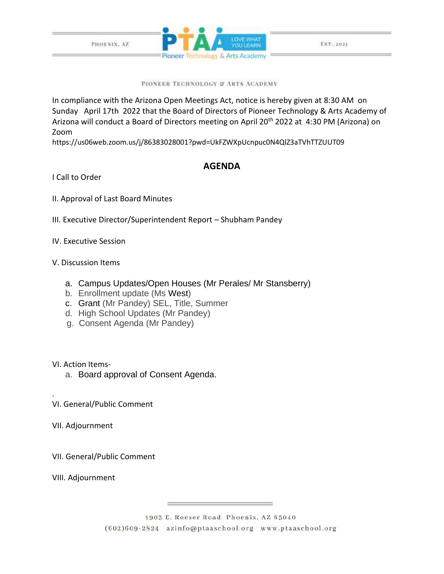

PIONEER TECHNOLOGY & ARTS ACADEMY

In compliance with the Arizona Open Meetings Act, notice is hereby given at 8:30 AM on Sunday April 17th 2022 that the Board of Directors of Pioneer Technology & Arts Academy of Arizona will conduct a Board of Directors meeting on April 20<sup>th</sup> 2022 at 4:30 PM (Arizona) on Zoom

https://us06web.zoom.us/j/86383028001?pwd=UkFZWXpUcnpuc0N4QlZ3aTVhTTZUUT09

## **AGENDA**

I Call to Order

- II. Approval of Last Board Minutes
- III. Executive Director/Superintendent Report Shubham Pandey
- IV. Executive Session
- V. Discussion Items
	- a. Campus Updates/Open Houses (Mr Perales/ Mr Stansberry)
	- b. Enrollment update (Ms West)
	- c. Grant (Mr Pandey) SEL, Title, Summer
	- d. High School Updates (Mr Pandey)
	- g. Consent Agenda (Mr Pandey)

VI. Action Items-

.

- a. Board approval of Consent Agenda.
- VI. General/Public Comment
- VII. Adjournment

VII. General/Public Comment

VIII. Adjournment

1903 E. Roeser Road Phoenix, AZ 85040 (602)609-2824 azinfo@ptaaschool.org www.ptaaschool.org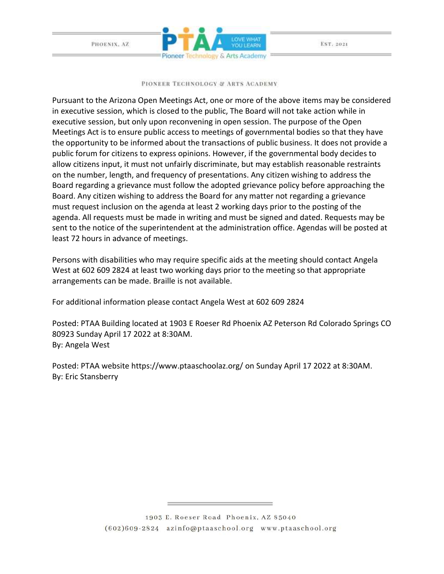

## PIONEER TECHNOLOGY & ARTS ACADEMY

Pursuant to the Arizona Open Meetings Act, one or more of the above items may be considered in executive session, which is closed to the public, The Board will not take action while in executive session, but only upon reconvening in open session. The purpose of the Open Meetings Act is to ensure public access to meetings of governmental bodies so that they have the opportunity to be informed about the transactions of public business. It does not provide a public forum for citizens to express opinions. However, if the governmental body decides to allow citizens input, it must not unfairly discriminate, but may establish reasonable restraints on the number, length, and frequency of presentations. Any citizen wishing to address the Board regarding a grievance must follow the adopted grievance policy before approaching the Board. Any citizen wishing to address the Board for any matter not regarding a grievance must request inclusion on the agenda at least 2 working days prior to the posting of the agenda. All requests must be made in writing and must be signed and dated. Requests may be sent to the notice of the superintendent at the administration office. Agendas will be posted at least 72 hours in advance of meetings.

Persons with disabilities who may require specific aids at the meeting should contact Angela West at 602 609 2824 at least two working days prior to the meeting so that appropriate arrangements can be made. Braille is not available.

For additional information please contact Angela West at 602 609 2824

Posted: PTAA Building located at 1903 E Roeser Rd Phoenix AZ Peterson Rd Colorado Springs CO 80923 Sunday April 17 2022 at 8:30AM. By: Angela West

Posted: PTAA website https://www.ptaaschoolaz.org/ on Sunday April 17 2022 at 8:30AM. By: Eric Stansberry